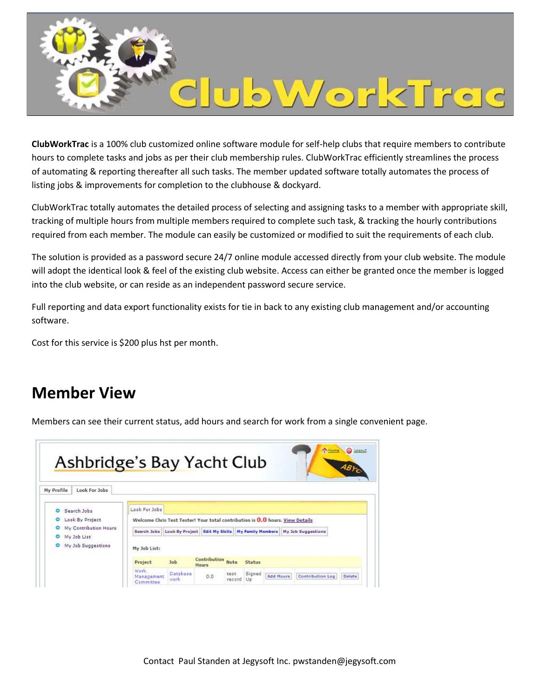

**ClubWorkTrac** is a 100% club customized online software module for self-help clubs that require members to contribute hours to complete tasks and jobs as per their club membership rules. ClubWorkTrac efficiently streamlines the process of automating & reporting thereafter all such tasks. The member updated software totally automates the process of listing jobs & improvements for completion to the clubhouse & dockyard.

ClubWorkTrac totally automates the detailed process of selecting and assigning tasks to a member with appropriate skill, tracking of multiple hours from multiple members required to complete such task, & tracking the hourly contributions required from each member. The module can easily be customized or modified to suit the requirements of each club.

The solution is provided as a password secure 24/7 online module accessed directly from your club website. The module will adopt the identical look & feel of the existing club website. Access can either be granted once the member is logged into the club website, or can reside as an independent password secure service.

Full reporting and data export functionality exists for tie in back to any existing club management and/or accounting software.

Cost for this service is \$200 plus hst per month.

#### **Member View**

Members can see their current status, add hours and search for work from a single convenient page.

| <b>Ashbridge's Bay Yacht Club</b>                                                                                              |                                                                               |                   |                                          |                   |        |                  | <b>Co</b> Home                                                                  | <b>G</b> Legeut<br>ABYON |  |
|--------------------------------------------------------------------------------------------------------------------------------|-------------------------------------------------------------------------------|-------------------|------------------------------------------|-------------------|--------|------------------|---------------------------------------------------------------------------------|--------------------------|--|
| My Profile<br>Look For Jobs                                                                                                    | Look For Jobs                                                                 |                   |                                          |                   |        |                  |                                                                                 |                          |  |
| Search Jobs<br>o<br>Look By Project<br>$\circ$<br>My Contribution Hours<br>۰<br>My Job List<br>My Job Suggestions<br>$\bullet$ | Welcome Chris Test Tester! Your total contribution is 0.0 hours. View Details |                   |                                          |                   |        |                  |                                                                                 |                          |  |
|                                                                                                                                |                                                                               |                   |                                          |                   |        |                  | Search Jobs Look By Project Edit My Skills My Family Members My Job Suggestions |                          |  |
|                                                                                                                                | My Job List:                                                                  |                   |                                          |                   |        |                  |                                                                                 |                          |  |
|                                                                                                                                | Project                                                                       | <b>Job</b>        | <b>Contribution Note</b><br><b>Hours</b> |                   | Status |                  |                                                                                 |                          |  |
|                                                                                                                                | Wark.<br>Management<br>Committee                                              | Database<br>work. | $_{0.0}$                                 | test<br>record Up | Signed | <b>Add Hours</b> | Contribution Log                                                                | Delete                   |  |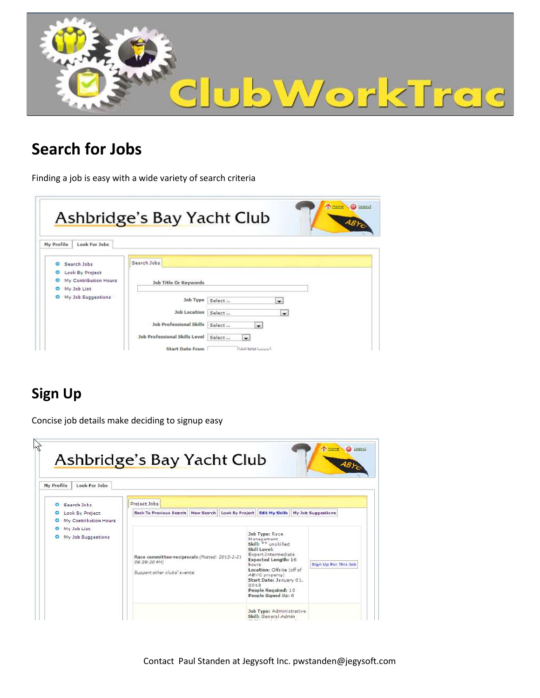

## **Search for Jobs**

Finding a job is easy with a wide variety of search criteria

|                                                                                                           | <b>Ashbridge's Bay Yacht Club</b><br>ABFO                                                                       |
|-----------------------------------------------------------------------------------------------------------|-----------------------------------------------------------------------------------------------------------------|
| Look For Jobs<br>My Profile                                                                               |                                                                                                                 |
| Search Jobs<br>$\circ$<br>Look By Project<br>$\circ$<br>My Contribution Hours<br>$\circ$<br>O My Job List | Search Jobs<br>Job Title Or Keywords                                                                            |
| O My Job Suggestions                                                                                      | Job Type<br>Select<br>۰<br><b>Job Location</b><br>Select<br>$\cdot$                                             |
|                                                                                                           | <b>Job Professional Skills</b><br>Select<br>$\sim$<br><b>Job Professional Skills Level</b><br>Select<br>$\cdot$ |

### **Sign Up**

Concise job details make deciding to signup easy



Contact Paul Standen at Jegysoft Inc. pwstanden@jegysoft.com